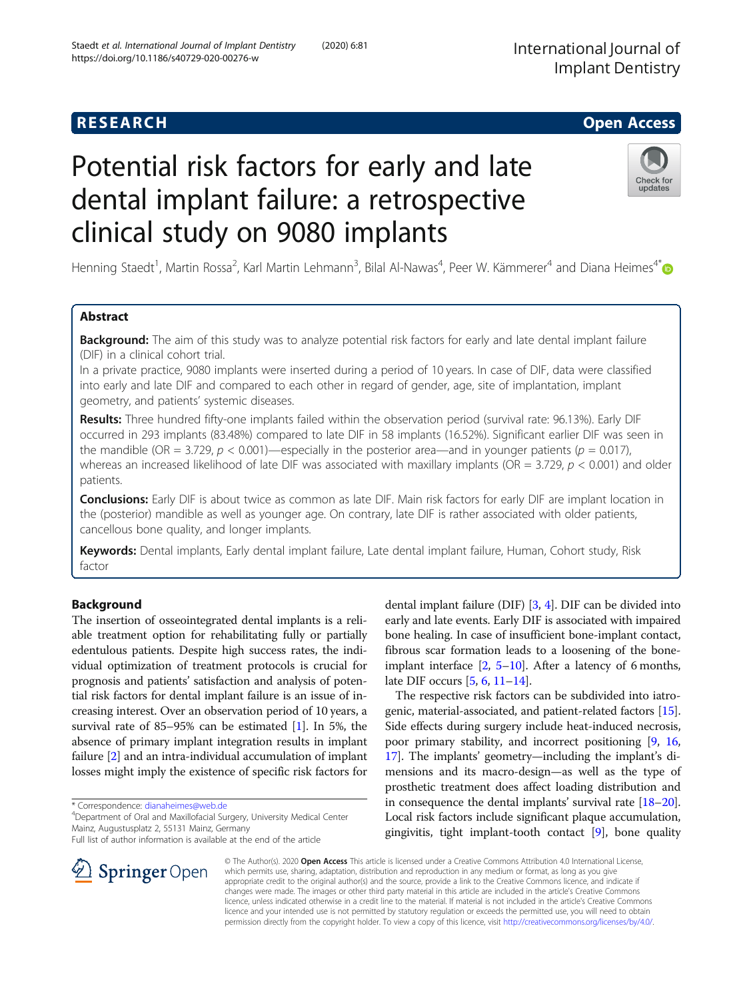# Potential risk factors for early and late dental implant failure: a retrospective clinical study on 9080 implants

Henning Staedt<sup>1</sup>, Martin Rossa<sup>2</sup>, Karl Martin Lehmann<sup>3</sup>, Bilal Al-Nawas<sup>4</sup>, Peer W. Kämmerer<sup>4</sup> and Diana Heimes<sup>4\*</sup>

# Abstract

**Background:** The aim of this study was to analyze potential risk factors for early and late dental implant failure (DIF) in a clinical cohort trial.

In a private practice, 9080 implants were inserted during a period of 10 years. In case of DIF, data were classified into early and late DIF and compared to each other in regard of gender, age, site of implantation, implant geometry, and patients' systemic diseases.

Results: Three hundred fifty-one implants failed within the observation period (survival rate: 96.13%). Early DIF occurred in 293 implants (83.48%) compared to late DIF in 58 implants (16.52%). Significant earlier DIF was seen in the mandible (OR = 3.729,  $p < 0.001$ )—especially in the posterior area—and in younger patients ( $p = 0.017$ ), whereas an increased likelihood of late DIF was associated with maxillary implants (OR =  $3.729$ ,  $p < 0.001$ ) and older patients.

**Conclusions:** Early DIF is about twice as common as late DIF. Main risk factors for early DIF are implant location in the (posterior) mandible as well as younger age. On contrary, late DIF is rather associated with older patients, cancellous bone quality, and longer implants.

Keywords: Dental implants, Early dental implant failure, Late dental implant failure, Human, Cohort study, Risk factor

# Background

The insertion of osseointegrated dental implants is a reliable treatment option for rehabilitating fully or partially edentulous patients. Despite high success rates, the individual optimization of treatment protocols is crucial for prognosis and patients' satisfaction and analysis of potential risk factors for dental implant failure is an issue of increasing interest. Over an observation period of 10 years, a survival rate of 85–95% can be estimated [\[1\]](#page-8-0). In 5%, the absence of primary implant integration results in implant failure [[2](#page-8-0)] and an intra-individual accumulation of implant losses might imply the existence of specific risk factors for

\* Correspondence: [dianaheimes@web.de](mailto:dianaheimes@web.de) <sup>4</sup>

SpringerOpen

dental implant failure (DIF) [\[3,](#page-8-0) [4\]](#page-8-0). DIF can be divided into early and late events. Early DIF is associated with impaired bone healing. In case of insufficient bone-implant contact, fibrous scar formation leads to a loosening of the boneimplant interface [\[2](#page-8-0), [5](#page-8-0)–[10\]](#page-8-0). After a latency of 6 months, late DIF occurs [\[5](#page-8-0), [6,](#page-8-0) [11](#page-8-0)–[14\]](#page-8-0).

The respective risk factors can be subdivided into iatrogenic, material-associated, and patient-related factors [[15](#page-8-0)]. Side effects during surgery include heat-induced necrosis, poor primary stability, and incorrect positioning [\[9,](#page-8-0) [16](#page-8-0), [17](#page-8-0)]. The implants' geometry—including the implant's dimensions and its macro-design—as well as the type of prosthetic treatment does affect loading distribution and in consequence the dental implants' survival rate [\[18](#page-8-0)–[20](#page-8-0)]. Local risk factors include significant plaque accumulation, gingivitis, tight implant-tooth contact [\[9\]](#page-8-0), bone quality

© The Author(s). 2020 Open Access This article is licensed under a Creative Commons Attribution 4.0 International License, which permits use, sharing, adaptation, distribution and reproduction in any medium or format, as long as you give appropriate credit to the original author(s) and the source, provide a link to the Creative Commons licence, and indicate if changes were made. The images or other third party material in this article are included in the article's Creative Commons licence, unless indicated otherwise in a credit line to the material. If material is not included in the article's Creative Commons licence and your intended use is not permitted by statutory regulation or exceeds the permitted use, you will need to obtain permission directly from the copyright holder. To view a copy of this licence, visit <http://creativecommons.org/licenses/by/4.0/>.







Department of Oral and Maxillofacial Surgery, University Medical Center Mainz, Augustusplatz 2, 55131 Mainz, Germany

Full list of author information is available at the end of the article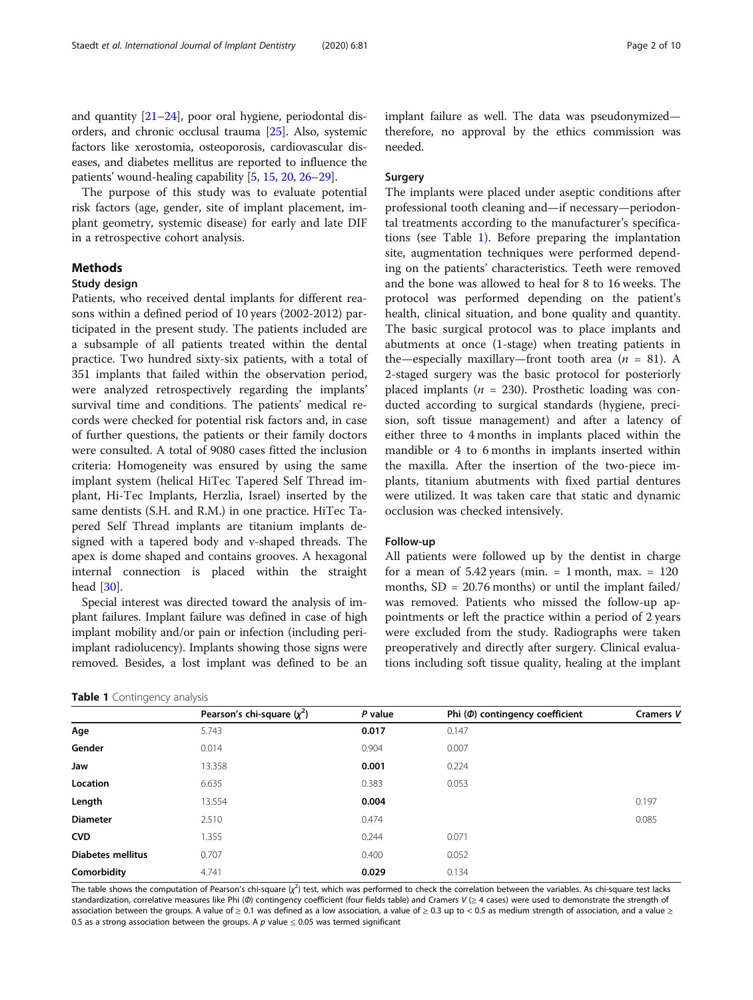and quantity [[21](#page-8-0)–[24\]](#page-8-0), poor oral hygiene, periodontal disorders, and chronic occlusal trauma [\[25\]](#page-8-0). Also, systemic factors like xerostomia, osteoporosis, cardiovascular diseases, and diabetes mellitus are reported to influence the patients' wound-healing capability [\[5](#page-8-0), [15,](#page-8-0) [20,](#page-8-0) [26](#page-8-0)–[29\]](#page-8-0).

The purpose of this study was to evaluate potential risk factors (age, gender, site of implant placement, implant geometry, systemic disease) for early and late DIF in a retrospective cohort analysis.

# Methods

# Study design

Patients, who received dental implants for different reasons within a defined period of 10 years (2002-2012) participated in the present study. The patients included are a subsample of all patients treated within the dental practice. Two hundred sixty-six patients, with a total of 351 implants that failed within the observation period, were analyzed retrospectively regarding the implants' survival time and conditions. The patients' medical records were checked for potential risk factors and, in case of further questions, the patients or their family doctors were consulted. A total of 9080 cases fitted the inclusion criteria: Homogeneity was ensured by using the same implant system (helical HiTec Tapered Self Thread implant, Hi-Tec Implants, Herzlia, Israel) inserted by the same dentists (S.H. and R.M.) in one practice. HiTec Tapered Self Thread implants are titanium implants designed with a tapered body and v-shaped threads. The apex is dome shaped and contains grooves. A hexagonal internal connection is placed within the straight head [\[30\]](#page-8-0).

Special interest was directed toward the analysis of implant failures. Implant failure was defined in case of high implant mobility and/or pain or infection (including periimplant radiolucency). Implants showing those signs were removed. Besides, a lost implant was defined to be an

|  |  | Table 1 Contingency analysis |  |  |
|--|--|------------------------------|--|--|
|--|--|------------------------------|--|--|

implant failure as well. The data was pseudonymized therefore, no approval by the ethics commission was needed.

# Surgery

The implants were placed under aseptic conditions after professional tooth cleaning and—if necessary—periodontal treatments according to the manufacturer's specifications (see Table 1). Before preparing the implantation site, augmentation techniques were performed depending on the patients' characteristics. Teeth were removed and the bone was allowed to heal for 8 to 16 weeks. The protocol was performed depending on the patient's health, clinical situation, and bone quality and quantity. The basic surgical protocol was to place implants and abutments at once (1-stage) when treating patients in the—especially maxillary—front tooth area  $(n = 81)$ . A 2-staged surgery was the basic protocol for posteriorly placed implants ( $n = 230$ ). Prosthetic loading was conducted according to surgical standards (hygiene, precision, soft tissue management) and after a latency of either three to 4 months in implants placed within the mandible or 4 to 6 months in implants inserted within the maxilla. After the insertion of the two-piece implants, titanium abutments with fixed partial dentures were utilized. It was taken care that static and dynamic occlusion was checked intensively.

#### Follow-up

All patients were followed up by the dentist in charge for a mean of  $5.42$  years (min. = 1 month, max. =  $120$ months, SD = 20.76 months) or until the implant failed/ was removed. Patients who missed the follow-up appointments or left the practice within a period of 2 years were excluded from the study. Radiographs were taken preoperatively and directly after surgery. Clinical evaluations including soft tissue quality, healing at the implant

|                          | Pearson's chi-square $(\chi^2)$ | P value | Phi $(\Phi)$ contingency coefficient | Cramers V |
|--------------------------|---------------------------------|---------|--------------------------------------|-----------|
| Age                      | 5.743                           | 0.017   | 0.147                                |           |
| Gender                   | 0.014                           | 0.904   | 0.007                                |           |
| Jaw                      | 13.358                          | 0.001   | 0.224                                |           |
| Location                 | 6.635                           | 0.383   | 0.053                                |           |
| Length                   | 13.554                          | 0.004   |                                      | 0.197     |
| <b>Diameter</b>          | 2.510                           | 0.474   |                                      | 0.085     |
| <b>CVD</b>               | 1.355                           | 0.244   | 0.071                                |           |
| <b>Diabetes mellitus</b> | 0.707                           | 0.400   | 0.052                                |           |
| Comorbidity              | 4.741                           | 0.029   | 0.134                                |           |

The table shows the computation of Pearson's chi-square  $(\chi^2)$  test, which was performed to check the correlation between the variables. As chi-square test lacks standardization, correlative measures like Phi (Φ) contingency coefficient (four fields table) and Cramers  $V \geq 4$  cases) were used to demonstrate the strength of association between the groups. A value of  $\geq 0.1$  was defined as a low association, a value of  $\geq 0.3$  up to < 0.5 as medium strength of association, and a value  $\geq$ 0.5 as a strong association between the groups. A p value  $\leq$  0.05 was termed significant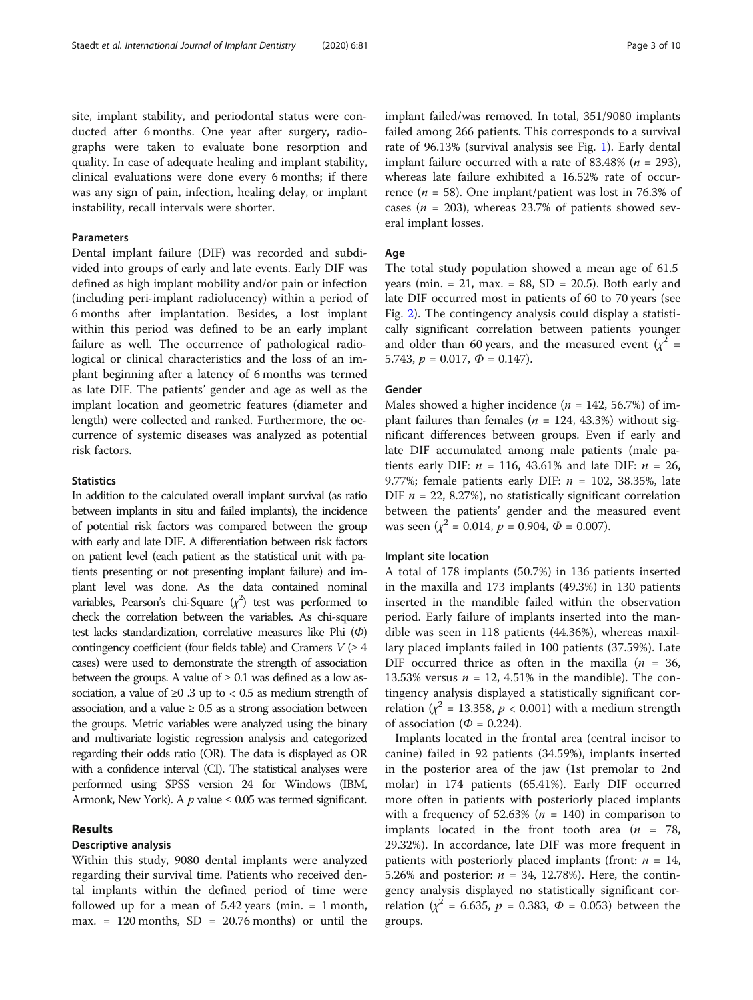site, implant stability, and periodontal status were conducted after 6 months. One year after surgery, radiographs were taken to evaluate bone resorption and quality. In case of adequate healing and implant stability, clinical evaluations were done every 6 months; if there was any sign of pain, infection, healing delay, or implant instability, recall intervals were shorter.

#### Parameters

Dental implant failure (DIF) was recorded and subdivided into groups of early and late events. Early DIF was defined as high implant mobility and/or pain or infection (including peri-implant radiolucency) within a period of 6 months after implantation. Besides, a lost implant within this period was defined to be an early implant failure as well. The occurrence of pathological radiological or clinical characteristics and the loss of an implant beginning after a latency of 6 months was termed as late DIF. The patients' gender and age as well as the implant location and geometric features (diameter and length) were collected and ranked. Furthermore, the occurrence of systemic diseases was analyzed as potential risk factors.

#### **Statistics**

In addition to the calculated overall implant survival (as ratio between implants in situ and failed implants), the incidence of potential risk factors was compared between the group with early and late DIF. A differentiation between risk factors on patient level (each patient as the statistical unit with patients presenting or not presenting implant failure) and implant level was done. As the data contained nominal variables, Pearson's chi-Square  $(\chi^2)$  test was performed to check the correlation between the variables. As chi-square test lacks standardization, correlative measures like Phi  $(\Phi)$ contingency coefficient (four fields table) and Cramers  $V$  ( $\geq 4$ cases) were used to demonstrate the strength of association between the groups. A value of  $\geq 0.1$  was defined as a low association, a value of  $\geq 0.3$  up to < 0.5 as medium strength of association, and a value  $\geq 0.5$  as a strong association between the groups. Metric variables were analyzed using the binary and multivariate logistic regression analysis and categorized regarding their odds ratio (OR). The data is displayed as OR with a confidence interval (CI). The statistical analyses were performed using SPSS version 24 for Windows (IBM, Armonk, New York). A  $p$  value  $\leq 0.05$  was termed significant.

# Results

# Descriptive analysis

Within this study, 9080 dental implants were analyzed regarding their survival time. Patients who received dental implants within the defined period of time were followed up for a mean of  $5.42$  years (min.  $= 1$  month, max.  $= 120$  months,  $SD = 20.76$  months) or until the implant failed/was removed. In total, 351/9080 implants failed among 266 patients. This corresponds to a survival rate of 96.13% (survival analysis see Fig. [1](#page-3-0)). Early dental implant failure occurred with a rate of 83.48% ( $n = 293$ ), whereas late failure exhibited a 16.52% rate of occurrence ( $n = 58$ ). One implant/patient was lost in 76.3% of cases ( $n = 203$ ), whereas 23.7% of patients showed several implant losses.

## Age

The total study population showed a mean age of 61.5 years (min.  $= 21$ , max.  $= 88$ , SD  $= 20.5$ ). Both early and late DIF occurred most in patients of 60 to 70 years (see Fig. [2\)](#page-3-0). The contingency analysis could display a statistically significant correlation between patients younger and older than 60 years, and the measured event  $(x^2 =$ 5.743,  $p = 0.017$ ,  $\Phi = 0.147$ .

#### Gender

Males showed a higher incidence ( $n = 142, 56.7\%$ ) of implant failures than females ( $n = 124, 43.3%$ ) without significant differences between groups. Even if early and late DIF accumulated among male patients (male patients early DIF:  $n = 116, 43.61\%$  and late DIF:  $n = 26$ , 9.77%; female patients early DIF:  $n = 102$ , 38.35%, late DIF  $n = 22, 8.27\%)$ , no statistically significant correlation between the patients' gender and the measured event was seen ( $\chi^2$  = 0.014,  $p$  = 0.904,  $\Phi$  = 0.007).

#### Implant site location

A total of 178 implants (50.7%) in 136 patients inserted in the maxilla and 173 implants (49.3%) in 130 patients inserted in the mandible failed within the observation period. Early failure of implants inserted into the mandible was seen in 118 patients (44.36%), whereas maxillary placed implants failed in 100 patients (37.59%). Late DIF occurred thrice as often in the maxilla  $(n = 36,$ 13.53% versus  $n = 12, 4.51\%$  in the mandible). The contingency analysis displayed a statistically significant correlation ( $\chi^2$  = 13.358,  $p < 0.001$ ) with a medium strength of association ( $\Phi = 0.224$ ).

Implants located in the frontal area (central incisor to canine) failed in 92 patients (34.59%), implants inserted in the posterior area of the jaw (1st premolar to 2nd molar) in 174 patients (65.41%). Early DIF occurred more often in patients with posteriorly placed implants with a frequency of 52.63% ( $n = 140$ ) in comparison to implants located in the front tooth area ( $n = 78$ , 29.32%). In accordance, late DIF was more frequent in patients with posteriorly placed implants (front:  $n = 14$ , 5.26% and posterior:  $n = 34$ , 12.78%). Here, the contingency analysis displayed no statistically significant correlation ( $\chi^2$  = 6.635, p = 0.383,  $\Phi$  = 0.053) between the groups.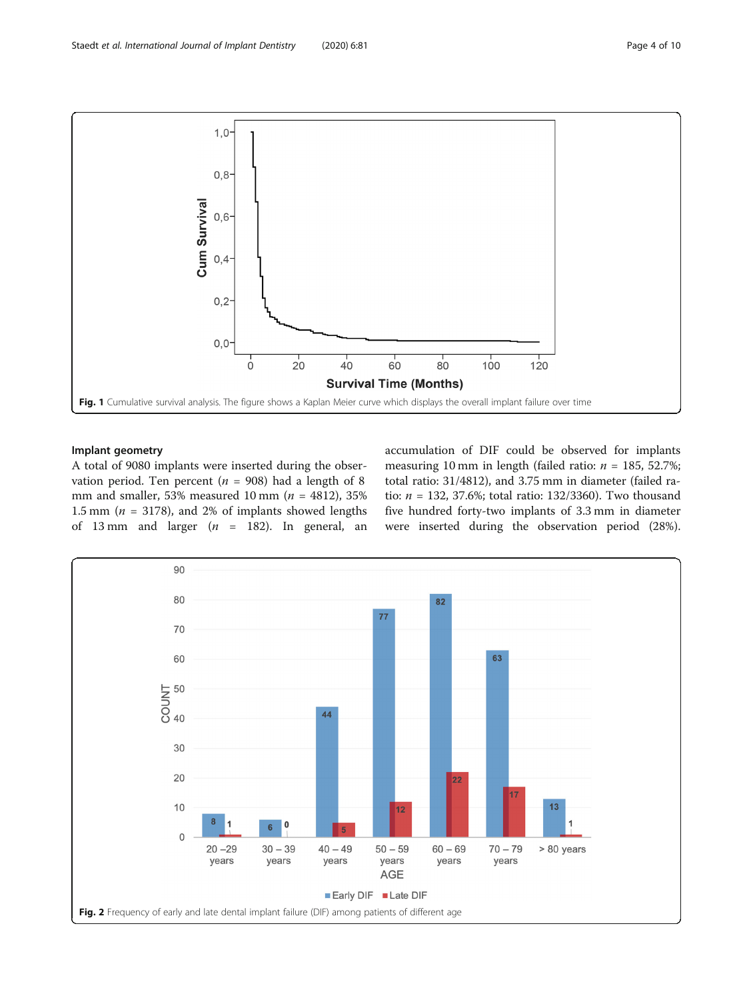<span id="page-3-0"></span>

# Implant geometry

A total of 9080 implants were inserted during the observation period. Ten percent ( $n = 908$ ) had a length of 8 mm and smaller, 53% measured 10 mm ( $n = 4812$ ), 35% 1.5 mm ( $n = 3178$ ), and 2% of implants showed lengths of 13 mm and larger ( $n = 182$ ). In general, an accumulation of DIF could be observed for implants measuring 10 mm in length (failed ratio:  $n = 185, 52.7\%$ ; total ratio: 31/4812), and 3.75 mm in diameter (failed ratio:  $n = 132, 37.6\%$ ; total ratio: 132/3360). Two thousand five hundred forty-two implants of 3.3 mm in diameter were inserted during the observation period (28%).

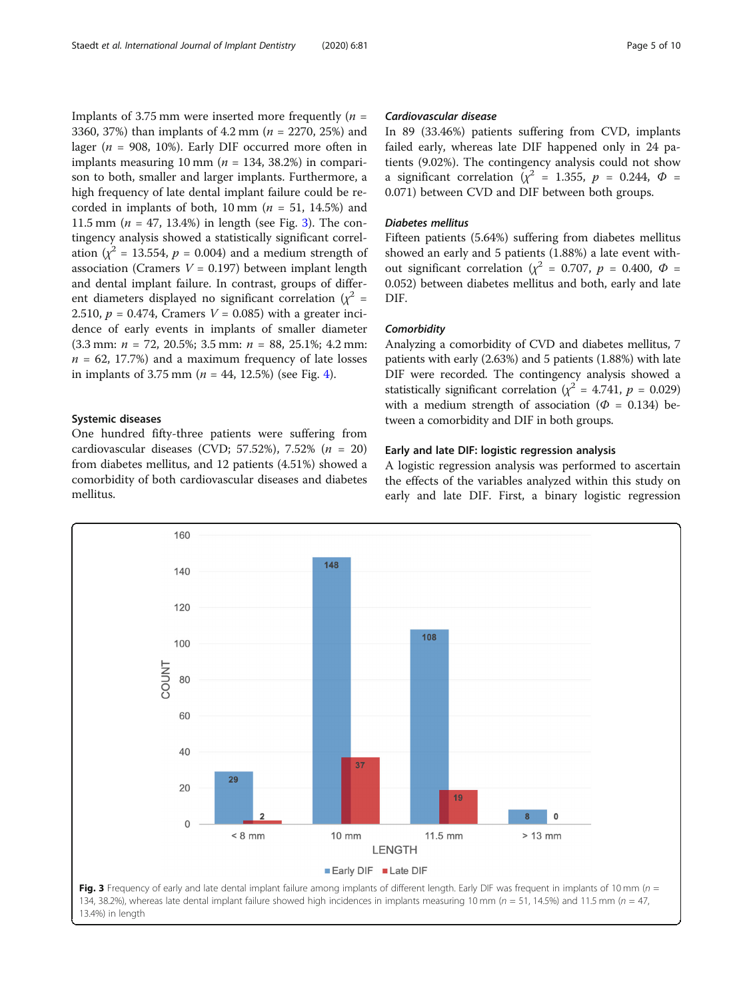Implants of 3.75 mm were inserted more frequently  $(n =$ 3360, 37%) than implants of 4.2 mm ( $n = 2270, 25\%$ ) and lager ( $n = 908$ , 10%). Early DIF occurred more often in implants measuring 10 mm ( $n = 134, 38.2\%$ ) in comparison to both, smaller and larger implants. Furthermore, a high frequency of late dental implant failure could be recorded in implants of both, 10 mm ( $n = 51$ , 14.5%) and 11.5 mm ( $n = 47, 13.4\%$ ) in length (see Fig. 3). The contingency analysis showed a statistically significant correlation ( $\chi^2$  = 13.554,  $p$  = 0.004) and a medium strength of association (Cramers  $V = 0.197$ ) between implant length and dental implant failure. In contrast, groups of different diameters displayed no significant correlation ( $\chi^2$  = 2.510,  $p = 0.474$ , Cramers  $V = 0.085$ ) with a greater incidence of early events in implants of smaller diameter  $(3.3 \text{ mm: } n = 72, 20.5\%; 3.5 \text{ mm: } n = 88, 25.1\%; 4.2 \text{ mm:}$  $n = 62$ , 17.7%) and a maximum frequency of late losses in implants of 3.75 mm ( $n = 44$ , 12.5%) (see Fig. [4\)](#page-5-0).

## Systemic diseases

One hundred fifty-three patients were suffering from cardiovascular diseases (CVD; 57.52%), 7.52%  $(n = 20)$ from diabetes mellitus, and 12 patients (4.51%) showed a comorbidity of both cardiovascular diseases and diabetes mellitus.

#### Cardiovascular disease

In 89 (33.46%) patients suffering from CVD, implants failed early, whereas late DIF happened only in 24 patients (9.02%). The contingency analysis could not show a significant correlation ( $\chi^2$  = 1.355,  $p$  = 0.244,  $\Phi$  = 0.071) between CVD and DIF between both groups.

#### Diabetes mellitus

Fifteen patients (5.64%) suffering from diabetes mellitus showed an early and 5 patients (1.88%) a late event without significant correlation ( $\chi^2$  = 0.707,  $p$  = 0.400,  $\Phi$  = 0.052) between diabetes mellitus and both, early and late DIF.

#### **Comorbidity**

Analyzing a comorbidity of CVD and diabetes mellitus, 7 patients with early (2.63%) and 5 patients (1.88%) with late DIF were recorded. The contingency analysis showed a statistically significant correlation ( $\chi^2$  = 4.741, p = 0.029) with a medium strength of association ( $\Phi = 0.134$ ) between a comorbidity and DIF in both groups.

## Early and late DIF: logistic regression analysis

A logistic regression analysis was performed to ascertain the effects of the variables analyzed within this study on early and late DIF. First, a binary logistic regression

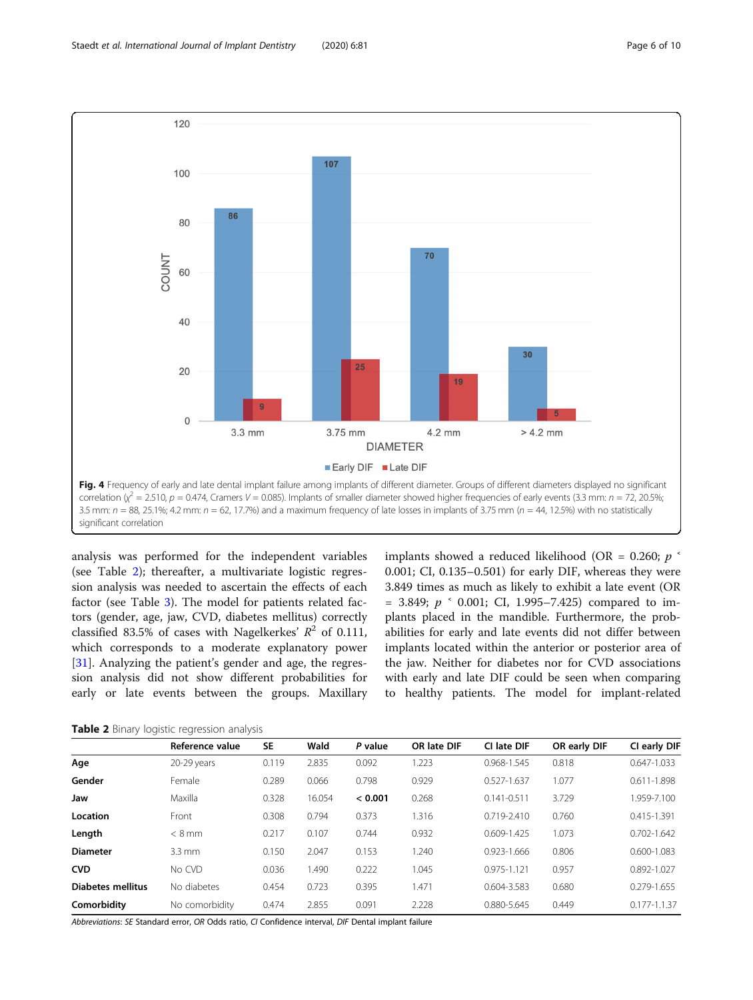<span id="page-5-0"></span>

analysis was performed for the independent variables (see Table 2); thereafter, a multivariate logistic regression analysis was needed to ascertain the effects of each factor (see Table [3\)](#page-6-0). The model for patients related factors (gender, age, jaw, CVD, diabetes mellitus) correctly classified 83.5% of cases with Nagelkerkes'  $R^2$  of 0.111, which corresponds to a moderate explanatory power [[31\]](#page-8-0). Analyzing the patient's gender and age, the regression analysis did not show different probabilities for early or late events between the groups. Maxillary implants showed a reduced likelihood (OR = 0.260;  $p \simeq$ 0.001; CI, 0.135–0.501) for early DIF, whereas they were 3.849 times as much as likely to exhibit a late event (OR  $= 3.849; p \cdot 0.001; C1, 1.995 - 7.425$  compared to implants placed in the mandible. Furthermore, the probabilities for early and late events did not differ between implants located within the anterior or posterior area of the jaw. Neither for diabetes nor for CVD associations with early and late DIF could be seen when comparing to healthy patients. The model for implant-related

Table 2 Binary logistic regression analysis

|                          | Reference value  | <b>SE</b> | Wald   | P value | OR late DIF | CI late DIF     | OR early DIF | CI early DIF     |
|--------------------------|------------------|-----------|--------|---------|-------------|-----------------|--------------|------------------|
| Age                      | 20-29 years      | 0.119     | 2.835  | 0.092   | 1.223       | 0.968-1.545     | 0.818        | 0.647-1.033      |
| Gender                   | Female           | 0.289     | 0.066  | 0.798   | 0.929       | 0.527-1.637     | 1.077        | $0.611 - 1.898$  |
| Jaw                      | Maxilla          | 0.328     | 16.054 | < 0.001 | 0.268       | $0.141 - 0.511$ | 3.729        | 1.959-7.100      |
| Location                 | Front            | 0.308     | 0.794  | 0.373   | 1.316       | 0.719-2.410     | 0.760        | 0.415-1.391      |
| Length                   | $< 8$ mm         | 0.217     | 0.107  | 0.744   | 0.932       | 0.609-1.425     | 1.073        | 0.702-1.642      |
| <b>Diameter</b>          | $3.3 \text{ mm}$ | 0.150     | 2.047  | 0.153   | 1.240       | 0.923-1.666     | 0.806        | $0.600 - 1.083$  |
| <b>CVD</b>               | No CVD           | 0.036     | 1.490  | 0.222   | 1.045       | $0.975 - 1.121$ | 0.957        | 0.892-1.027      |
| <b>Diabetes mellitus</b> | No diabetes      | 0.454     | 0.723  | 0.395   | 1.471       | 0.604-3.583     | 0.680        | 0.279-1.655      |
| Comorbidity              | No comorbidity   | 0.474     | 2.855  | 0.091   | 2.228       | 0.880-5.645     | 0.449        | $0.177 - 1.1.37$ |

Abbreviations: SE Standard error, OR Odds ratio, CI Confidence interval, DIF Dental implant failure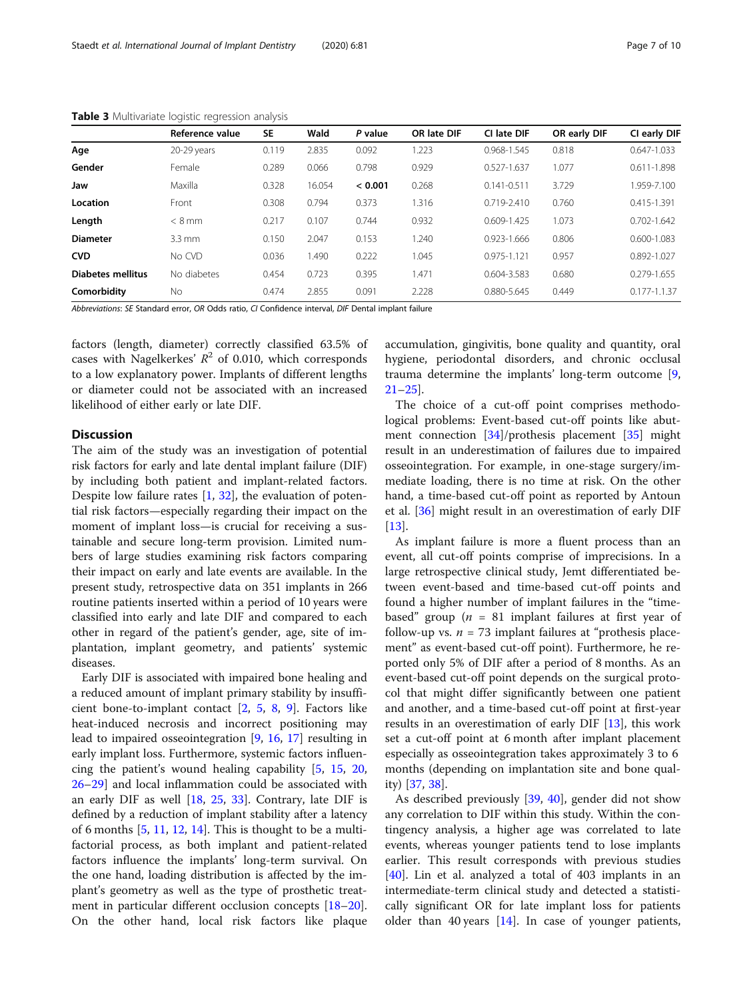|                   | Reference value  | <b>SE</b> | Wald   | P value | OR late DIF | CI late DIF     | OR early DIF | CI early DIF     |
|-------------------|------------------|-----------|--------|---------|-------------|-----------------|--------------|------------------|
| Age               | 20-29 years      | 0.119     | 2.835  | 0.092   | 1.223       | 0.968-1.545     | 0.818        | $0.647 - 1.033$  |
| Gender            | Female           | 0.289     | 0.066  | 0.798   | 0.929       | 0.527-1.637     | 1.077        | $0.611 - 1.898$  |
| Jaw               | Maxilla          | 0.328     | 16.054 | < 0.001 | 0.268       | $0.141 - 0.511$ | 3.729        | 1.959-7.100      |
| Location          | Front            | 0.308     | 0.794  | 0.373   | 1.316       | $0.719 - 2.410$ | 0.760        | 0.415-1.391      |
| Length            | $< 8$ mm         | 0.217     | 0.107  | 0.744   | 0.932       | $0.609 - 1.425$ | 1.073        | $0.702 - 1.642$  |
| <b>Diameter</b>   | $3.3 \text{ mm}$ | 0.150     | 2.047  | 0.153   | 1.240       | 0.923-1.666     | 0.806        | $0.600 - 1.083$  |
| <b>CVD</b>        | No CVD           | 0.036     | 1.490  | 0.222   | 1.045       | $0.975 - 1.121$ | 0.957        | 0.892-1.027      |
| Diabetes mellitus | No diabetes      | 0.454     | 0.723  | 0.395   | 1.471       | 0.604-3.583     | 0.680        | 0.279-1.655      |
| Comorbidity       | No               | 0.474     | 2.855  | 0.091   | 2.228       | 0.880-5.645     | 0.449        | $0.177 - 1.1.37$ |

<span id="page-6-0"></span>Table 3 Multivariate logistic regression analysis

Abbreviations: SE Standard error, OR Odds ratio, CI Confidence interval, DIF Dental implant failure

factors (length, diameter) correctly classified 63.5% of cases with Nagelkerkes'  $R^2$  of 0.010, which corresponds to a low explanatory power. Implants of different lengths or diameter could not be associated with an increased likelihood of either early or late DIF.

## **Discussion**

The aim of the study was an investigation of potential risk factors for early and late dental implant failure (DIF) by including both patient and implant-related factors. Despite low failure rates  $[1, 32]$  $[1, 32]$  $[1, 32]$  $[1, 32]$ , the evaluation of potential risk factors—especially regarding their impact on the moment of implant loss—is crucial for receiving a sustainable and secure long-term provision. Limited numbers of large studies examining risk factors comparing their impact on early and late events are available. In the present study, retrospective data on 351 implants in 266 routine patients inserted within a period of 10 years were classified into early and late DIF and compared to each other in regard of the patient's gender, age, site of implantation, implant geometry, and patients' systemic diseases.

Early DIF is associated with impaired bone healing and a reduced amount of implant primary stability by insufficient bone-to-implant contact [\[2](#page-8-0), [5,](#page-8-0) [8,](#page-8-0) [9\]](#page-8-0). Factors like heat-induced necrosis and incorrect positioning may lead to impaired osseointegration [\[9](#page-8-0), [16,](#page-8-0) [17\]](#page-8-0) resulting in early implant loss. Furthermore, systemic factors influencing the patient's wound healing capability  $[5, 15, 20, 15, 20]$  $[5, 15, 20, 15, 20]$  $[5, 15, 20, 15, 20]$  $[5, 15, 20, 15, 20]$  $[5, 15, 20, 15, 20]$  $[5, 15, 20, 15, 20]$  $[5, 15, 20, 15, 20]$ [26](#page-8-0)–[29](#page-8-0)] and local inflammation could be associated with an early DIF as well [[18](#page-8-0), [25,](#page-8-0) [33\]](#page-8-0). Contrary, late DIF is defined by a reduction of implant stability after a latency of 6 months  $[5, 11, 12, 14]$  $[5, 11, 12, 14]$  $[5, 11, 12, 14]$  $[5, 11, 12, 14]$  $[5, 11, 12, 14]$  $[5, 11, 12, 14]$  $[5, 11, 12, 14]$ . This is thought to be a multifactorial process, as both implant and patient-related factors influence the implants' long-term survival. On the one hand, loading distribution is affected by the implant's geometry as well as the type of prosthetic treatment in particular different occlusion concepts [[18](#page-8-0)–[20](#page-8-0)]. On the other hand, local risk factors like plaque

accumulation, gingivitis, bone quality and quantity, oral hygiene, periodontal disorders, and chronic occlusal trauma determine the implants' long-term outcome [\[9](#page-8-0), [21](#page-8-0)–[25](#page-8-0)].

The choice of a cut-off point comprises methodological problems: Event-based cut-off points like abutment connection [[34\]](#page-8-0)/prothesis placement [[35\]](#page-8-0) might result in an underestimation of failures due to impaired osseointegration. For example, in one-stage surgery/immediate loading, there is no time at risk. On the other hand, a time-based cut-off point as reported by Antoun et al. [\[36](#page-8-0)] might result in an overestimation of early DIF [[13\]](#page-8-0).

As implant failure is more a fluent process than an event, all cut-off points comprise of imprecisions. In a large retrospective clinical study, Jemt differentiated between event-based and time-based cut-off points and found a higher number of implant failures in the "timebased" group ( $n = 81$  implant failures at first year of follow-up vs.  $n = 73$  implant failures at "prothesis placement" as event-based cut-off point). Furthermore, he reported only 5% of DIF after a period of 8 months. As an event-based cut-off point depends on the surgical protocol that might differ significantly between one patient and another, and a time-based cut-off point at first-year results in an overestimation of early DIF [[13\]](#page-8-0), this work set a cut-off point at 6 month after implant placement especially as osseointegration takes approximately 3 to 6 months (depending on implantation site and bone quality) [\[37,](#page-8-0) [38\]](#page-8-0).

As described previously [[39,](#page-8-0) [40](#page-8-0)], gender did not show any correlation to DIF within this study. Within the contingency analysis, a higher age was correlated to late events, whereas younger patients tend to lose implants earlier. This result corresponds with previous studies [[40\]](#page-8-0). Lin et al. analyzed a total of 403 implants in an intermediate-term clinical study and detected a statistically significant OR for late implant loss for patients older than 40 years  $[14]$  $[14]$  $[14]$ . In case of younger patients,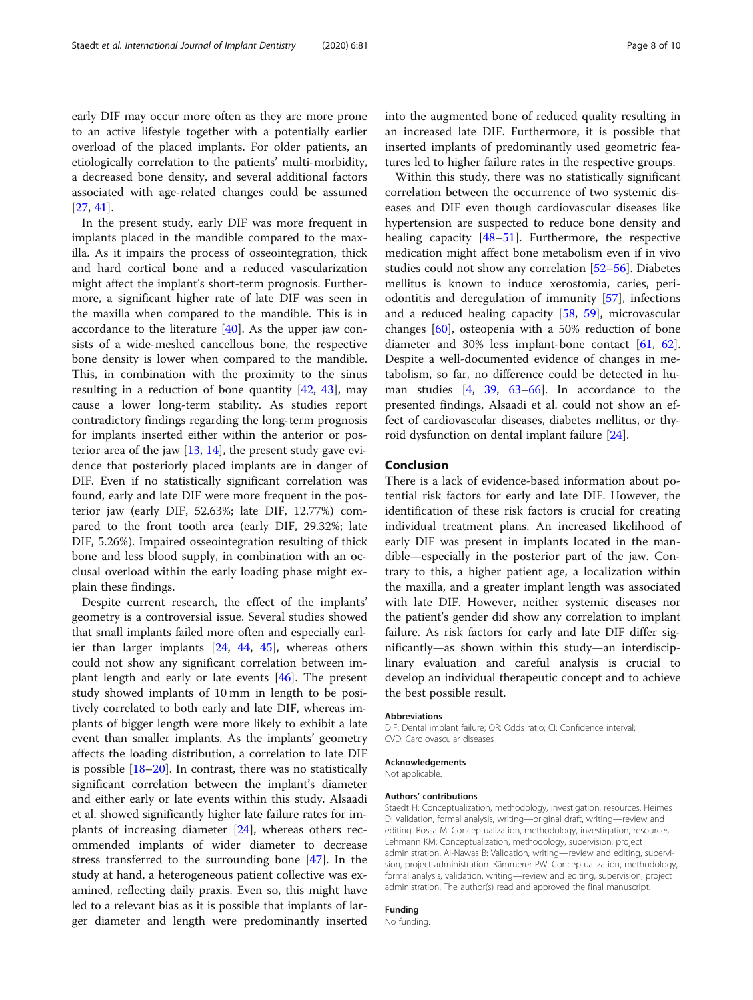early DIF may occur more often as they are more prone to an active lifestyle together with a potentially earlier overload of the placed implants. For older patients, an etiologically correlation to the patients' multi-morbidity, a decreased bone density, and several additional factors associated with age-related changes could be assumed [[27,](#page-8-0) [41\]](#page-9-0).

In the present study, early DIF was more frequent in implants placed in the mandible compared to the maxilla. As it impairs the process of osseointegration, thick and hard cortical bone and a reduced vascularization might affect the implant's short-term prognosis. Furthermore, a significant higher rate of late DIF was seen in the maxilla when compared to the mandible. This is in accordance to the literature  $[40]$  $[40]$ . As the upper jaw consists of a wide-meshed cancellous bone, the respective bone density is lower when compared to the mandible. This, in combination with the proximity to the sinus resulting in a reduction of bone quantity [\[42,](#page-9-0) [43](#page-9-0)], may cause a lower long-term stability. As studies report contradictory findings regarding the long-term prognosis for implants inserted either within the anterior or posterior area of the jaw  $[13, 14]$  $[13, 14]$  $[13, 14]$ , the present study gave evidence that posteriorly placed implants are in danger of DIF. Even if no statistically significant correlation was found, early and late DIF were more frequent in the posterior jaw (early DIF, 52.63%; late DIF, 12.77%) compared to the front tooth area (early DIF, 29.32%; late DIF, 5.26%). Impaired osseointegration resulting of thick bone and less blood supply, in combination with an occlusal overload within the early loading phase might explain these findings.

Despite current research, the effect of the implants' geometry is a controversial issue. Several studies showed that small implants failed more often and especially earlier than larger implants [\[24](#page-8-0), [44,](#page-9-0) [45](#page-9-0)], whereas others could not show any significant correlation between implant length and early or late events [\[46](#page-9-0)]. The present study showed implants of 10 mm in length to be positively correlated to both early and late DIF, whereas implants of bigger length were more likely to exhibit a late event than smaller implants. As the implants' geometry affects the loading distribution, a correlation to late DIF is possible  $[18–20]$  $[18–20]$  $[18–20]$ . In contrast, there was no statistically significant correlation between the implant's diameter and either early or late events within this study. Alsaadi et al. showed significantly higher late failure rates for implants of increasing diameter [[24](#page-8-0)], whereas others recommended implants of wider diameter to decrease stress transferred to the surrounding bone [\[47\]](#page-9-0). In the study at hand, a heterogeneous patient collective was examined, reflecting daily praxis. Even so, this might have led to a relevant bias as it is possible that implants of larger diameter and length were predominantly inserted into the augmented bone of reduced quality resulting in an increased late DIF. Furthermore, it is possible that inserted implants of predominantly used geometric features led to higher failure rates in the respective groups.

Within this study, there was no statistically significant correlation between the occurrence of two systemic diseases and DIF even though cardiovascular diseases like hypertension are suspected to reduce bone density and healing capacity [\[48](#page-9-0)–[51\]](#page-9-0). Furthermore, the respective medication might affect bone metabolism even if in vivo studies could not show any correlation [[52](#page-9-0)–[56](#page-9-0)]. Diabetes mellitus is known to induce xerostomia, caries, periodontitis and deregulation of immunity [\[57](#page-9-0)], infections and a reduced healing capacity [\[58](#page-9-0), [59\]](#page-9-0), microvascular changes [\[60](#page-9-0)], osteopenia with a 50% reduction of bone diameter and 30% less implant-bone contact [\[61](#page-9-0), [62](#page-9-0)]. Despite a well-documented evidence of changes in metabolism, so far, no difference could be detected in human studies [[4,](#page-8-0) [39](#page-8-0), [63](#page-9-0)–[66](#page-9-0)]. In accordance to the presented findings, Alsaadi et al. could not show an effect of cardiovascular diseases, diabetes mellitus, or thyroid dysfunction on dental implant failure [[24\]](#page-8-0).

#### Conclusion

There is a lack of evidence-based information about potential risk factors for early and late DIF. However, the identification of these risk factors is crucial for creating individual treatment plans. An increased likelihood of early DIF was present in implants located in the mandible—especially in the posterior part of the jaw. Contrary to this, a higher patient age, a localization within the maxilla, and a greater implant length was associated with late DIF. However, neither systemic diseases nor the patient's gender did show any correlation to implant failure. As risk factors for early and late DIF differ significantly—as shown within this study—an interdisciplinary evaluation and careful analysis is crucial to develop an individual therapeutic concept and to achieve the best possible result.

#### Abbreviations

DIF: Dental implant failure; OR: Odds ratio; CI: Confidence interval; CVD: Cardiovascular diseases

#### Acknowledgements

Not applicable.

#### Authors' contributions

Staedt H: Conceptualization, methodology, investigation, resources. Heimes D: Validation, formal analysis, writing—original draft, writing—review and editing. Rossa M: Conceptualization, methodology, investigation, resources. Lehmann KM: Conceptualization, methodology, supervision, project administration. Al-Nawas B: Validation, writing—review and editing, supervision, project administration. Kämmerer PW: Conceptualization, methodology, formal analysis, validation, writing—review and editing, supervision, project administration. The author(s) read and approved the final manuscript.

# Funding

No funding.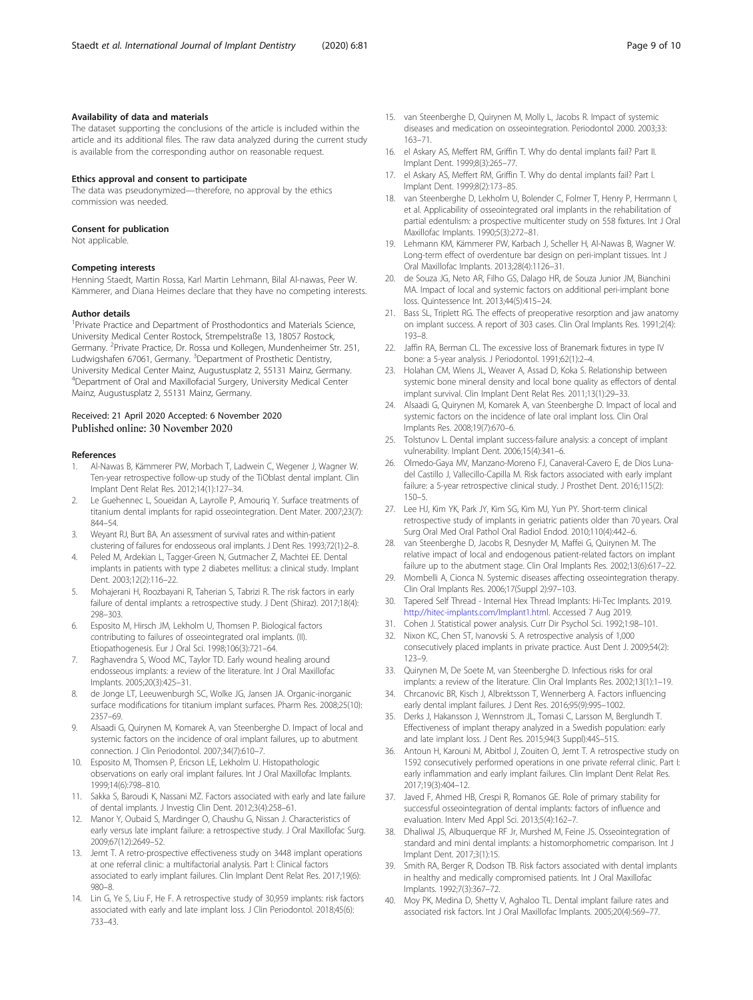#### <span id="page-8-0"></span>Availability of data and materials

The dataset supporting the conclusions of the article is included within the article and its additional files. The raw data analyzed during the current study is available from the corresponding author on reasonable request.

#### Ethics approval and consent to participate

The data was pseudonymized—therefore, no approval by the ethics commission was needed.

#### Consent for publication

Not applicable.

#### Competing interests

Henning Staedt, Martin Rossa, Karl Martin Lehmann, Bilal Al-nawas, Peer W. Kämmerer, and Diana Heimes declare that they have no competing interests.

#### Author details

<sup>1</sup> Private Practice and Department of Prosthodontics and Materials Science, University Medical Center Rostock, Strempelstraße 13, 18057 Rostock, Germany. <sup>2</sup>Private Practice, Dr. Rossa und Kollegen, Mundenheimer Str. 251, Ludwigshafen 67061, Germany. <sup>3</sup>Department of Prosthetic Dentistry, University Medical Center Mainz, Augustusplatz 2, 55131 Mainz, Germany. 4 Department of Oral and Maxillofacial Surgery, University Medical Center Mainz, Augustusplatz 2, 55131 Mainz, Germany.

#### Received: 21 April 2020 Accepted: 6 November 2020 Published online: 30 November 2020

#### References

- 1. Al-Nawas B, Kämmerer PW, Morbach T, Ladwein C, Wegener J, Wagner W. Ten-year retrospective follow-up study of the TiOblast dental implant. Clin Implant Dent Relat Res. 2012;14(1):127–34.
- Le Guehennec L, Soueidan A, Layrolle P, Amourig Y. Surface treatments of titanium dental implants for rapid osseointegration. Dent Mater. 2007;23(7): 844–54.
- 3. Weyant RJ, Burt BA. An assessment of survival rates and within-patient clustering of failures for endosseous oral implants. J Dent Res. 1993;72(1):2–8.
- 4. Peled M, Ardekian L, Tagger-Green N, Gutmacher Z, Machtei EE. Dental implants in patients with type 2 diabetes mellitus: a clinical study. Implant Dent. 2003;12(2):116–22.
- 5. Mohajerani H, Roozbayani R, Taherian S, Tabrizi R. The risk factors in early failure of dental implants: a retrospective study. J Dent (Shiraz). 2017;18(4): 298–303.
- 6. Esposito M, Hirsch JM, Lekholm U, Thomsen P. Biological factors contributing to failures of osseointegrated oral implants. (II). Etiopathogenesis. Eur J Oral Sci. 1998;106(3):721–64.
- 7. Raghavendra S, Wood MC, Taylor TD. Early wound healing around endosseous implants: a review of the literature. Int J Oral Maxillofac Implants. 2005;20(3):425–31.
- 8. de Jonge LT, Leeuwenburgh SC, Wolke JG, Jansen JA. Organic-inorganic surface modifications for titanium implant surfaces. Pharm Res. 2008;25(10): 2357–69.
- 9. Alsaadi G, Quirynen M, Komarek A, van Steenberghe D. Impact of local and systemic factors on the incidence of oral implant failures, up to abutment connection. J Clin Periodontol. 2007;34(7):610–7.
- 10. Esposito M, Thomsen P, Ericson LE, Lekholm U. Histopathologic observations on early oral implant failures. Int J Oral Maxillofac Implants. 1999;14(6):798–810.
- 11. Sakka S, Baroudi K, Nassani MZ. Factors associated with early and late failure of dental implants. J Investig Clin Dent. 2012;3(4):258–61.
- 12. Manor Y, Oubaid S, Mardinger O, Chaushu G, Nissan J. Characteristics of early versus late implant failure: a retrospective study. J Oral Maxillofac Surg. 2009;67(12):2649–52.
- 13. Jemt T. A retro-prospective effectiveness study on 3448 implant operations at one referral clinic: a multifactorial analysis. Part I: Clinical factors associated to early implant failures. Clin Implant Dent Relat Res. 2017;19(6): 980–8.
- 14. Lin G, Ye S, Liu F, He F. A retrospective study of 30,959 implants: risk factors associated with early and late implant loss. J Clin Periodontol. 2018;45(6): 733–43.
- 15. van Steenberghe D, Quirynen M, Molly L, Jacobs R. Impact of systemic diseases and medication on osseointegration. Periodontol 2000. 2003;33: 163–71.
- 16. el Askary AS, Meffert RM, Griffin T. Why do dental implants fail? Part II. Implant Dent. 1999;8(3):265–77.
- 17. el Askary AS, Meffert RM, Griffin T. Why do dental implants fail? Part I. Implant Dent. 1999;8(2):173–85.
- 18. van Steenberghe D, Lekholm U, Bolender C, Folmer T, Henry P, Herrmann I, et al. Applicability of osseointegrated oral implants in the rehabilitation of partial edentulism: a prospective multicenter study on 558 fixtures. Int J Oral Maxillofac Implants. 1990;5(3):272–81.
- 19. Lehmann KM, Kämmerer PW, Karbach J, Scheller H, Al-Nawas B, Wagner W. Long-term effect of overdenture bar design on peri-implant tissues. Int J Oral Maxillofac Implants. 2013;28(4):1126–31.
- 20. de Souza JG, Neto AR, Filho GS, Dalago HR, de Souza Junior JM, Bianchini MA. Impact of local and systemic factors on additional peri-implant bone loss. Quintessence Int. 2013;44(5):415–24.
- 21. Bass SL, Triplett RG. The effects of preoperative resorption and jaw anatomy on implant success. A report of 303 cases. Clin Oral Implants Res. 1991;2(4): 193–8.
- 22. Jaffin RA, Berman CL. The excessive loss of Branemark fixtures in type IV bone: a 5-year analysis. J Periodontol. 1991;62(1):2–4.
- 23. Holahan CM, Wiens JL, Weaver A, Assad D, Koka S. Relationship between systemic bone mineral density and local bone quality as effectors of dental implant survival. Clin Implant Dent Relat Res. 2011;13(1):29–33.
- 24. Alsaadi G, Quirynen M, Komarek A, van Steenberghe D. Impact of local and systemic factors on the incidence of late oral implant loss. Clin Oral Implants Res. 2008;19(7):670–6.
- 25. Tolstunov L. Dental implant success-failure analysis: a concept of implant vulnerability. Implant Dent. 2006;15(4):341–6.
- 26. Olmedo-Gaya MV, Manzano-Moreno FJ, Canaveral-Cavero E, de Dios Lunadel Castillo J, Vallecillo-Capilla M. Risk factors associated with early implant failure: a 5-year retrospective clinical study. J Prosthet Dent. 2016;115(2): 150–5.
- 27. Lee HJ, Kim YK, Park JY, Kim SG, Kim MJ, Yun PY. Short-term clinical retrospective study of implants in geriatric patients older than 70 years. Oral Surg Oral Med Oral Pathol Oral Radiol Endod. 2010;110(4):442–6.
- 28. van Steenberghe D, Jacobs R, Desnyder M, Maffei G, Quirynen M. The relative impact of local and endogenous patient-related factors on implant failure up to the abutment stage. Clin Oral Implants Res. 2002;13(6):617–22.
- 29. Mombelli A, Cionca N. Systemic diseases affecting osseointegration therapy. Clin Oral Implants Res. 2006;17(Suppl 2):97–103.
- 30. Tapered Self Thread Internal Hex Thread Implants: Hi-Tec Implants. 2019. [http://hitec-implants.com/Implant1.html.](http://hitec-implants.com/Implant1.html) Accessed 7 Aug 2019.
- 31. Cohen J. Statistical power analysis. Curr Dir Psychol Sci. 1992;1:98–101.
- 32. Nixon KC, Chen ST, Ivanovski S. A retrospective analysis of 1,000 consecutively placed implants in private practice. Aust Dent J. 2009;54(2): 123–9.
- 33. Quirynen M, De Soete M, van Steenberghe D. Infectious risks for oral implants: a review of the literature. Clin Oral Implants Res. 2002;13(1):1–19.
- 34. Chrcanovic BR, Kisch J, Albrektsson T, Wennerberg A. Factors influencing early dental implant failures. J Dent Res. 2016;95(9):995–1002.
- 35. Derks J, Hakansson J, Wennstrom JL, Tomasi C, Larsson M, Berglundh T. Effectiveness of implant therapy analyzed in a Swedish population: early and late implant loss. J Dent Res. 2015;94(3 Suppl):44S–51S.
- 36. Antoun H, Karouni M, Abitbol J, Zouiten O, Jemt T. A retrospective study on 1592 consecutively performed operations in one private referral clinic. Part I: early inflammation and early implant failures. Clin Implant Dent Relat Res. 2017;19(3):404–12.
- 37. Javed F, Ahmed HB, Crespi R, Romanos GE. Role of primary stability for successful osseointegration of dental implants: factors of influence and evaluation. Interv Med Appl Sci. 2013;5(4):162–7.
- 38. Dhaliwal JS, Albuquerque RF Jr, Murshed M, Feine JS. Osseointegration of standard and mini dental implants: a histomorphometric comparison. Int J Implant Dent. 2017;3(1):15.
- 39. Smith RA, Berger R, Dodson TB. Risk factors associated with dental implants in healthy and medically compromised patients. Int J Oral Maxillofac Implants. 1992;7(3):367–72.
- 40. Moy PK, Medina D, Shetty V, Aghaloo TL. Dental implant failure rates and associated risk factors. Int J Oral Maxillofac Implants. 2005;20(4):569–77.